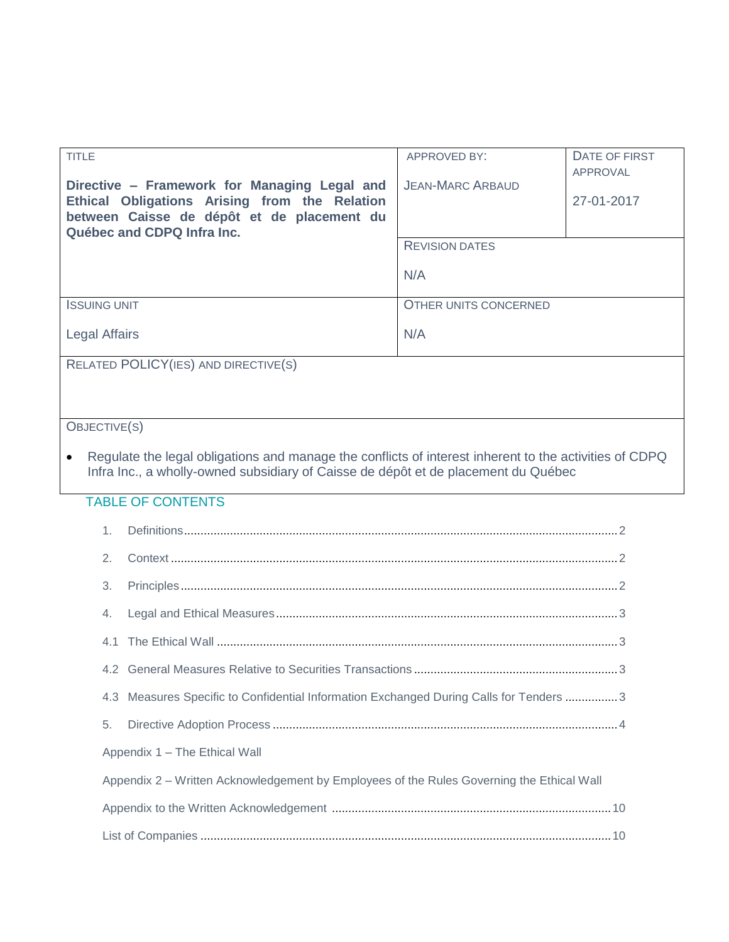| <b>TITLE</b>                                                                                                                                                                                 | <b>APPROVED BY:</b>          | DATE OF FIRST<br>APPROVAL |
|----------------------------------------------------------------------------------------------------------------------------------------------------------------------------------------------|------------------------------|---------------------------|
| Directive – Framework for Managing Legal and<br>Ethical Obligations Arising from the Relation<br>between Caisse de dépôt et de placement du<br>Québec and CDPQ Infra Inc.                    | <b>JEAN-MARC ARBAUD</b>      | 27-01-2017                |
|                                                                                                                                                                                              | <b>REVISION DATES</b>        |                           |
|                                                                                                                                                                                              | N/A                          |                           |
| <b>ISSUING UNIT</b>                                                                                                                                                                          | <b>OTHER UNITS CONCERNED</b> |                           |
| <b>Legal Affairs</b>                                                                                                                                                                         | N/A                          |                           |
| RELATED POLICY(IES) AND DIRECTIVE(S)                                                                                                                                                         |                              |                           |
|                                                                                                                                                                                              |                              |                           |
| OBJECTIVE(S)                                                                                                                                                                                 |                              |                           |
| Regulate the legal obligations and manage the conflicts of interest inherent to the activities of CDPQ<br>Infra Inc., a wholly-owned subsidiary of Caisse de dépôt et de placement du Québec |                              |                           |

# TABLE OF CONTENTS

| 2.                                                                                        |                                                                                        |  |
|-------------------------------------------------------------------------------------------|----------------------------------------------------------------------------------------|--|
| 3.                                                                                        |                                                                                        |  |
|                                                                                           |                                                                                        |  |
|                                                                                           |                                                                                        |  |
|                                                                                           |                                                                                        |  |
|                                                                                           | 4.3 Measures Specific to Confidential Information Exchanged During Calls for Tenders 3 |  |
| 5.                                                                                        |                                                                                        |  |
| Appendix 1 - The Ethical Wall                                                             |                                                                                        |  |
| Appendix 2 – Written Acknowledgement by Employees of the Rules Governing the Ethical Wall |                                                                                        |  |
|                                                                                           |                                                                                        |  |
|                                                                                           |                                                                                        |  |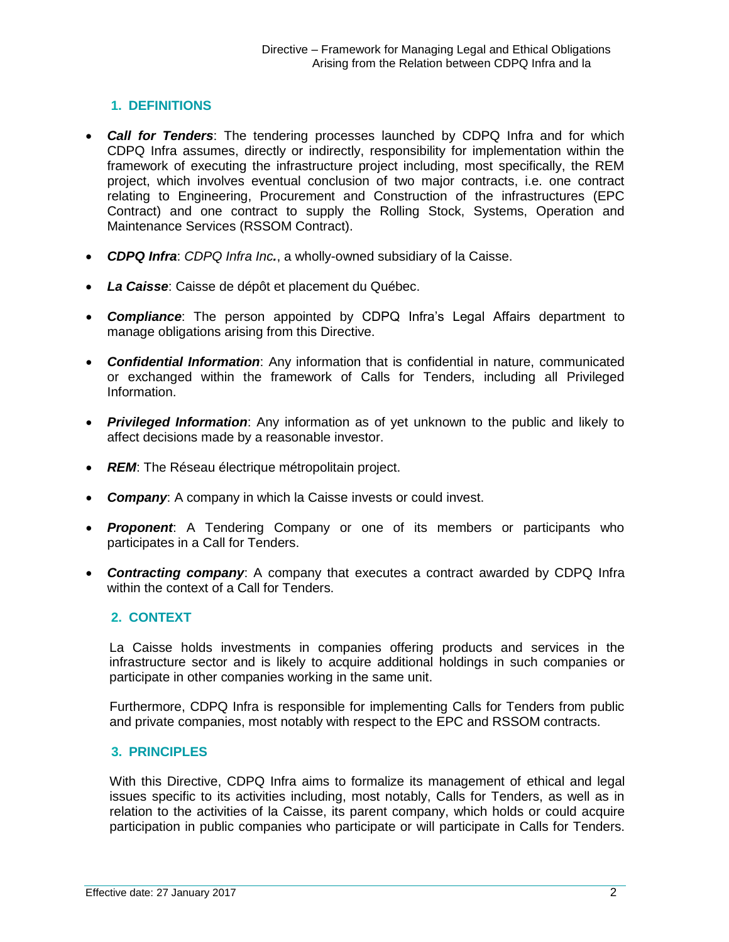## <span id="page-1-0"></span>**1. DEFINITIONS**

- *Call for Tenders*: The tendering processes launched by CDPQ Infra and for which CDPQ Infra assumes, directly or indirectly, responsibility for implementation within the framework of executing the infrastructure project including, most specifically, the REM project, which involves eventual conclusion of two major contracts, i.e. one contract relating to Engineering, Procurement and Construction of the infrastructures (EPC Contract) and one contract to supply the Rolling Stock, Systems, Operation and Maintenance Services (RSSOM Contract).
- *CDPQ Infra*: *CDPQ Infra Inc.*, a wholly-owned subsidiary of la Caisse.
- *La Caisse*: Caisse de dépôt et placement du Québec.
- *Compliance*: The person appointed by CDPQ Infra's Legal Affairs department to manage obligations arising from this Directive.
- *Confidential Information*: Any information that is confidential in nature, communicated or exchanged within the framework of Calls for Tenders, including all Privileged Information.
- *Privileged Information*: Any information as of yet unknown to the public and likely to affect decisions made by a reasonable investor.
- REM: The Réseau électrique métropolitain project.
- *Company*: A company in which la Caisse invests or could invest.
- *Proponent*: A Tendering Company or one of its members or participants who participates in a Call for Tenders.
- *Contracting company*: A company that executes a contract awarded by CDPQ Infra within the context of a Call for Tenders.

#### <span id="page-1-1"></span>**2. CONTEXT**

La Caisse holds investments in companies offering products and services in the infrastructure sector and is likely to acquire additional holdings in such companies or participate in other companies working in the same unit.

Furthermore, CDPQ Infra is responsible for implementing Calls for Tenders from public and private companies, most notably with respect to the EPC and RSSOM contracts.

#### <span id="page-1-2"></span>**3. PRINCIPLES**

With this Directive, CDPQ Infra aims to formalize its management of ethical and legal issues specific to its activities including, most notably, Calls for Tenders, as well as in relation to the activities of la Caisse, its parent company, which holds or could acquire participation in public companies who participate or will participate in Calls for Tenders.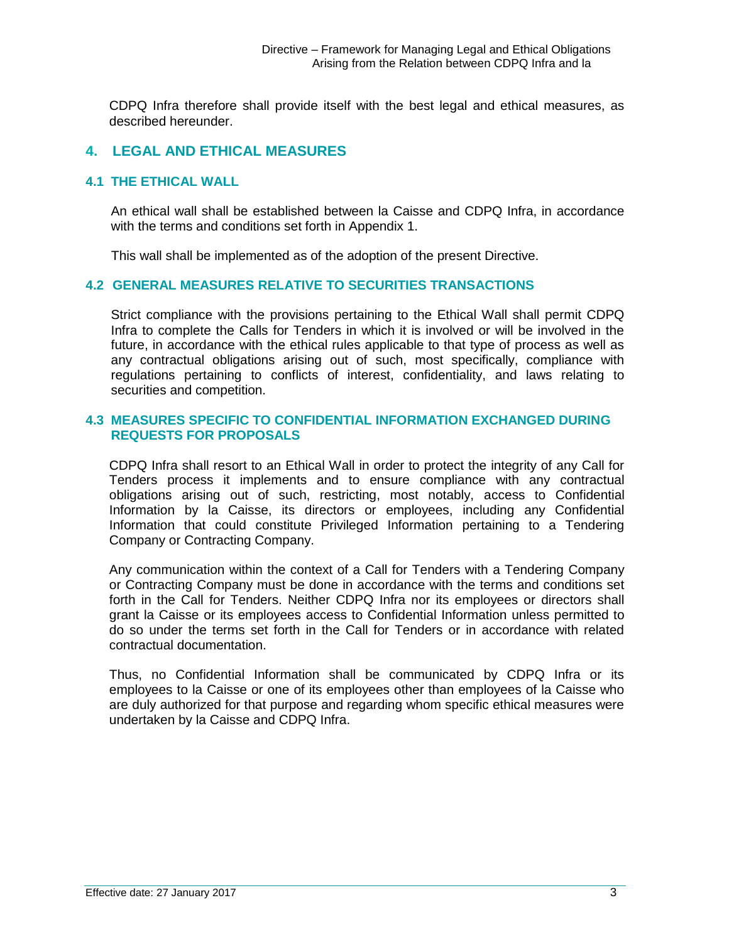CDPQ Infra therefore shall provide itself with the best legal and ethical measures, as described hereunder.

## <span id="page-2-0"></span>**4. LEGAL AND ETHICAL MEASURES**

#### <span id="page-2-1"></span>**4.1 THE ETHICAL WALL**

An ethical wall shall be established between la Caisse and CDPQ Infra, in accordance with the terms and conditions set forth in Appendix 1.

This wall shall be implemented as of the adoption of the present Directive.

#### <span id="page-2-2"></span>**4.2 GENERAL MEASURES RELATIVE TO SECURITIES TRANSACTIONS**

Strict compliance with the provisions pertaining to the Ethical Wall shall permit CDPQ Infra to complete the Calls for Tenders in which it is involved or will be involved in the future, in accordance with the ethical rules applicable to that type of process as well as any contractual obligations arising out of such, most specifically, compliance with regulations pertaining to conflicts of interest, confidentiality, and laws relating to securities and competition.

#### <span id="page-2-3"></span>**4.3 MEASURES SPECIFIC TO CONFIDENTIAL INFORMATION EXCHANGED DURING REQUESTS FOR PROPOSALS**

CDPQ Infra shall resort to an Ethical Wall in order to protect the integrity of any Call for Tenders process it implements and to ensure compliance with any contractual obligations arising out of such, restricting, most notably, access to Confidential Information by la Caisse, its directors or employees, including any Confidential Information that could constitute Privileged Information pertaining to a Tendering Company or Contracting Company.

Any communication within the context of a Call for Tenders with a Tendering Company or Contracting Company must be done in accordance with the terms and conditions set forth in the Call for Tenders. Neither CDPQ Infra nor its employees or directors shall grant la Caisse or its employees access to Confidential Information unless permitted to do so under the terms set forth in the Call for Tenders or in accordance with related contractual documentation.

Thus, no Confidential Information shall be communicated by CDPQ Infra or its employees to la Caisse or one of its employees other than employees of la Caisse who are duly authorized for that purpose and regarding whom specific ethical measures were undertaken by la Caisse and CDPQ Infra.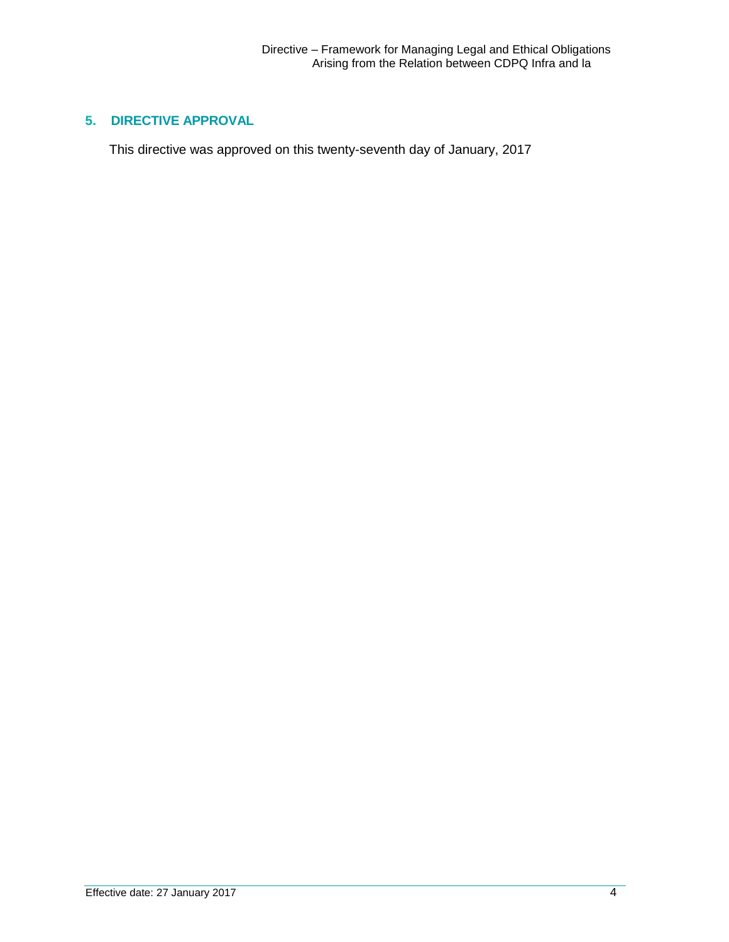# <span id="page-3-0"></span>**5. DIRECTIVE APPROVAL**

This directive was approved on this twenty-seventh day of January, 2017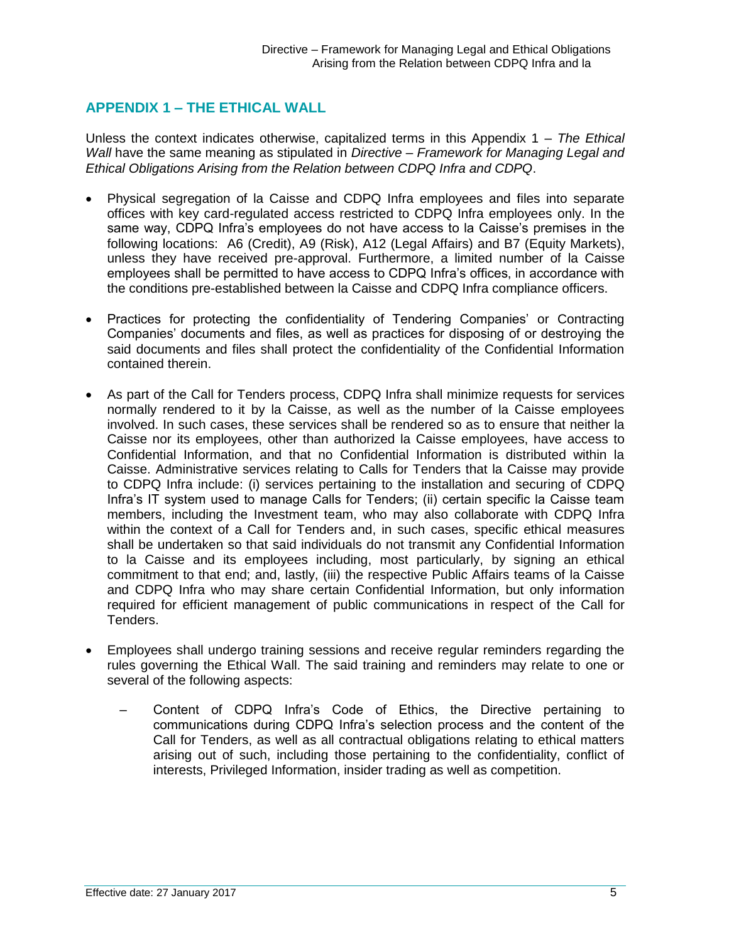# **APPENDIX 1 – THE ETHICAL WALL**

Unless the context indicates otherwise, capitalized terms in this Appendix 1 – *The Ethical Wall* have the same meaning as stipulated in *Directive – Framework for Managing Legal and Ethical Obligations Arising from the Relation between CDPQ Infra and CDPQ*.

- Physical segregation of la Caisse and CDPQ Infra employees and files into separate offices with key card-regulated access restricted to CDPQ Infra employees only. In the same way, CDPQ Infra's employees do not have access to la Caisse's premises in the following locations: A6 (Credit), A9 (Risk), A12 (Legal Affairs) and B7 (Equity Markets), unless they have received pre-approval. Furthermore, a limited number of la Caisse employees shall be permitted to have access to CDPQ Infra's offices, in accordance with the conditions pre-established between la Caisse and CDPQ Infra compliance officers.
- Practices for protecting the confidentiality of Tendering Companies' or Contracting Companies' documents and files, as well as practices for disposing of or destroying the said documents and files shall protect the confidentiality of the Confidential Information contained therein.
- As part of the Call for Tenders process, CDPQ Infra shall minimize requests for services normally rendered to it by la Caisse, as well as the number of la Caisse employees involved. In such cases, these services shall be rendered so as to ensure that neither la Caisse nor its employees, other than authorized la Caisse employees, have access to Confidential Information, and that no Confidential Information is distributed within la Caisse. Administrative services relating to Calls for Tenders that la Caisse may provide to CDPQ Infra include: (i) services pertaining to the installation and securing of CDPQ Infra's IT system used to manage Calls for Tenders; (ii) certain specific la Caisse team members, including the Investment team, who may also collaborate with CDPQ Infra within the context of a Call for Tenders and, in such cases, specific ethical measures shall be undertaken so that said individuals do not transmit any Confidential Information to la Caisse and its employees including, most particularly, by signing an ethical commitment to that end; and, lastly, (iii) the respective Public Affairs teams of la Caisse and CDPQ Infra who may share certain Confidential Information, but only information required for efficient management of public communications in respect of the Call for Tenders.
- Employees shall undergo training sessions and receive regular reminders regarding the rules governing the Ethical Wall. The said training and reminders may relate to one or several of the following aspects:
	- Content of CDPQ Infra's Code of Ethics, the Directive pertaining to communications during CDPQ Infra's selection process and the content of the Call for Tenders, as well as all contractual obligations relating to ethical matters arising out of such, including those pertaining to the confidentiality, conflict of interests, Privileged Information, insider trading as well as competition.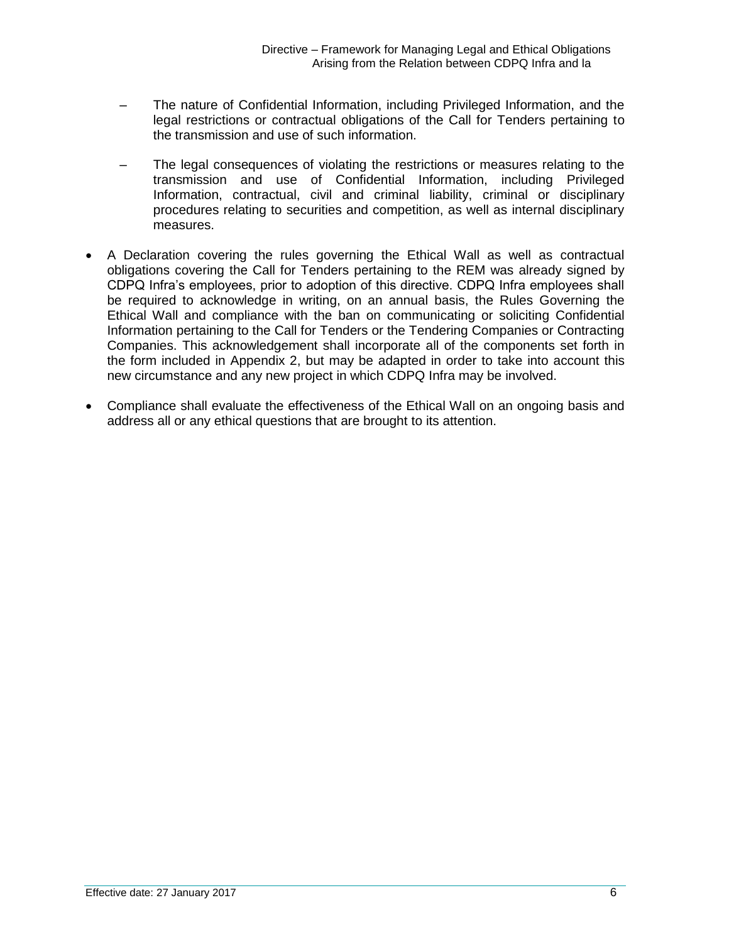- The nature of Confidential Information, including Privileged Information, and the legal restrictions or contractual obligations of the Call for Tenders pertaining to the transmission and use of such information.
- The legal consequences of violating the restrictions or measures relating to the transmission and use of Confidential Information, including Privileged Information, contractual, civil and criminal liability, criminal or disciplinary procedures relating to securities and competition, as well as internal disciplinary measures.
- A Declaration covering the rules governing the Ethical Wall as well as contractual obligations covering the Call for Tenders pertaining to the REM was already signed by CDPQ Infra's employees, prior to adoption of this directive. CDPQ Infra employees shall be required to acknowledge in writing, on an annual basis, the Rules Governing the Ethical Wall and compliance with the ban on communicating or soliciting Confidential Information pertaining to the Call for Tenders or the Tendering Companies or Contracting Companies. This acknowledgement shall incorporate all of the components set forth in the form included in Appendix 2, but may be adapted in order to take into account this new circumstance and any new project in which CDPQ Infra may be involved.
- Compliance shall evaluate the effectiveness of the Ethical Wall on an ongoing basis and address all or any ethical questions that are brought to its attention.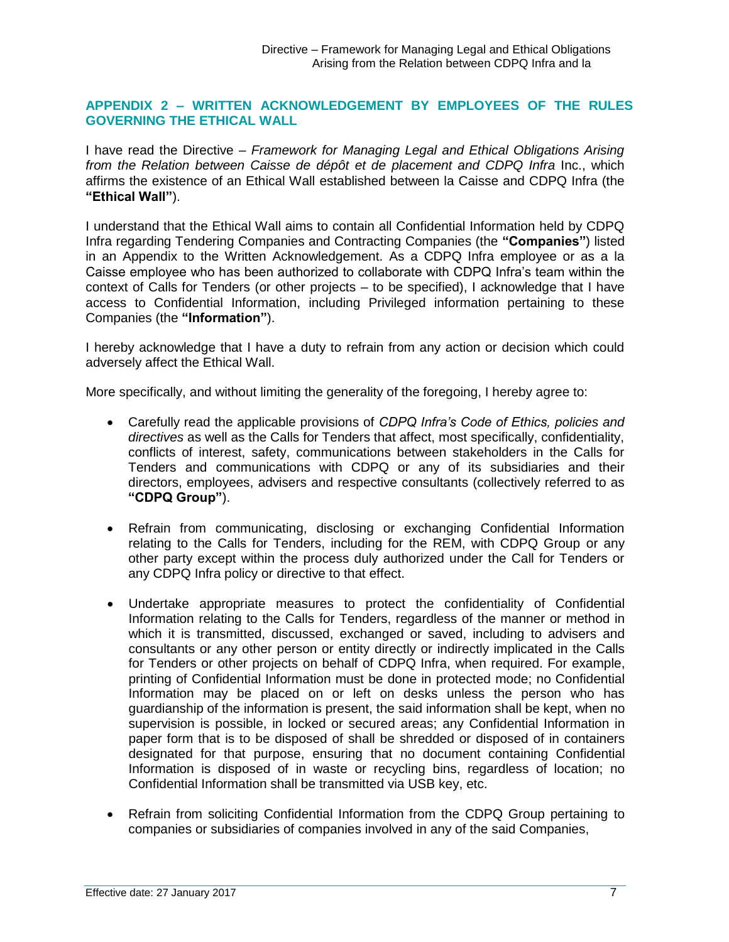#### **APPENDIX 2 – WRITTEN ACKNOWLEDGEMENT BY EMPLOYEES OF THE RULES GOVERNING THE ETHICAL WALL**

I have read the Directive – *Framework for Managing Legal and Ethical Obligations Arising from the Relation between Caisse de dépôt et de placement and CDPQ Infra Inc., which* affirms the existence of an Ethical Wall established between la Caisse and CDPQ Infra (the **"Ethical Wall"**).

I understand that the Ethical Wall aims to contain all Confidential Information held by CDPQ Infra regarding Tendering Companies and Contracting Companies (the **"Companies"**) listed in an Appendix to the Written Acknowledgement. As a CDPQ Infra employee or as a la Caisse employee who has been authorized to collaborate with CDPQ Infra's team within the context of Calls for Tenders (or other projects – to be specified), I acknowledge that I have access to Confidential Information, including Privileged information pertaining to these Companies (the **"Information"**).

I hereby acknowledge that I have a duty to refrain from any action or decision which could adversely affect the Ethical Wall.

More specifically, and without limiting the generality of the foregoing, I hereby agree to:

- Carefully read the applicable provisions of *CDPQ Infra's Code of Ethics, policies and directives* as well as the Calls for Tenders that affect, most specifically, confidentiality, conflicts of interest, safety, communications between stakeholders in the Calls for Tenders and communications with CDPQ or any of its subsidiaries and their directors, employees, advisers and respective consultants (collectively referred to as **"CDPQ Group"**).
- Refrain from communicating, disclosing or exchanging Confidential Information relating to the Calls for Tenders, including for the REM, with CDPQ Group or any other party except within the process duly authorized under the Call for Tenders or any CDPQ Infra policy or directive to that effect.
- Undertake appropriate measures to protect the confidentiality of Confidential Information relating to the Calls for Tenders, regardless of the manner or method in which it is transmitted, discussed, exchanged or saved, including to advisers and consultants or any other person or entity directly or indirectly implicated in the Calls for Tenders or other projects on behalf of CDPQ Infra, when required. For example, printing of Confidential Information must be done in protected mode; no Confidential Information may be placed on or left on desks unless the person who has guardianship of the information is present, the said information shall be kept, when no supervision is possible, in locked or secured areas; any Confidential Information in paper form that is to be disposed of shall be shredded or disposed of in containers designated for that purpose, ensuring that no document containing Confidential Information is disposed of in waste or recycling bins, regardless of location; no Confidential Information shall be transmitted via USB key, etc.
- Refrain from soliciting Confidential Information from the CDPQ Group pertaining to companies or subsidiaries of companies involved in any of the said Companies,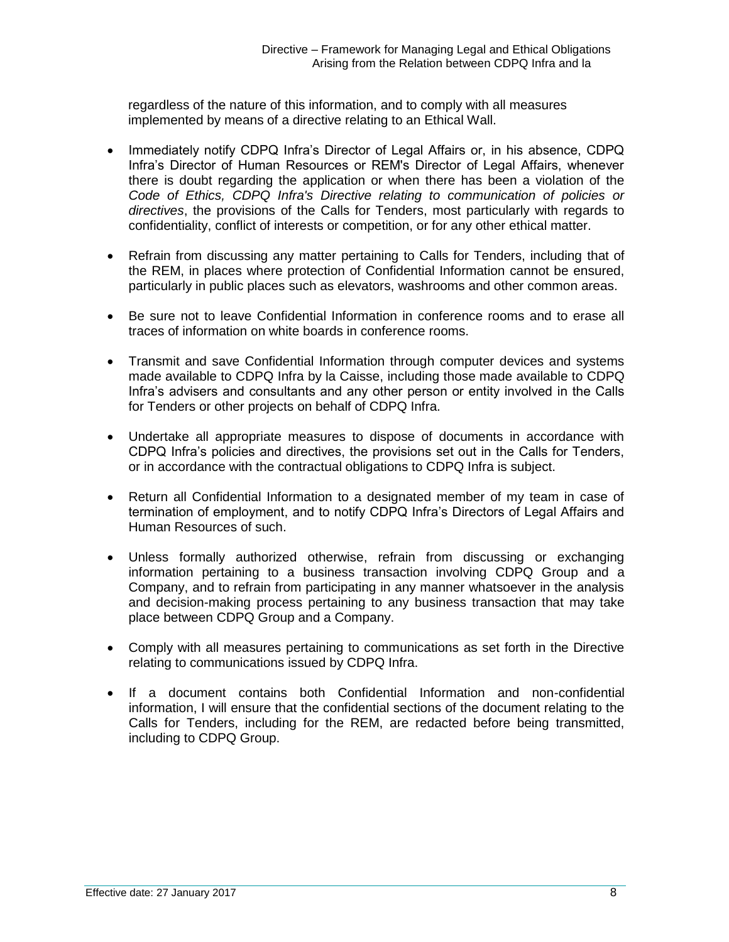regardless of the nature of this information, and to comply with all measures implemented by means of a directive relating to an Ethical Wall.

- Immediately notify CDPQ Infra's Director of Legal Affairs or, in his absence, CDPQ Infra's Director of Human Resources or REM's Director of Legal Affairs, whenever there is doubt regarding the application or when there has been a violation of the *Code of Ethics, CDPQ Infra's Directive relating to communication of policies or directives*, the provisions of the Calls for Tenders, most particularly with regards to confidentiality, conflict of interests or competition, or for any other ethical matter.
- Refrain from discussing any matter pertaining to Calls for Tenders, including that of the REM, in places where protection of Confidential Information cannot be ensured, particularly in public places such as elevators, washrooms and other common areas.
- Be sure not to leave Confidential Information in conference rooms and to erase all traces of information on white boards in conference rooms.
- Transmit and save Confidential Information through computer devices and systems made available to CDPQ Infra by la Caisse, including those made available to CDPQ Infra's advisers and consultants and any other person or entity involved in the Calls for Tenders or other projects on behalf of CDPQ Infra.
- Undertake all appropriate measures to dispose of documents in accordance with CDPQ Infra's policies and directives, the provisions set out in the Calls for Tenders, or in accordance with the contractual obligations to CDPQ Infra is subject.
- Return all Confidential Information to a designated member of my team in case of termination of employment, and to notify CDPQ Infra's Directors of Legal Affairs and Human Resources of such.
- Unless formally authorized otherwise, refrain from discussing or exchanging information pertaining to a business transaction involving CDPQ Group and a Company, and to refrain from participating in any manner whatsoever in the analysis and decision-making process pertaining to any business transaction that may take place between CDPQ Group and a Company.
- Comply with all measures pertaining to communications as set forth in the Directive relating to communications issued by CDPQ Infra.
- If a document contains both Confidential Information and non-confidential information, I will ensure that the confidential sections of the document relating to the Calls for Tenders, including for the REM, are redacted before being transmitted, including to CDPQ Group.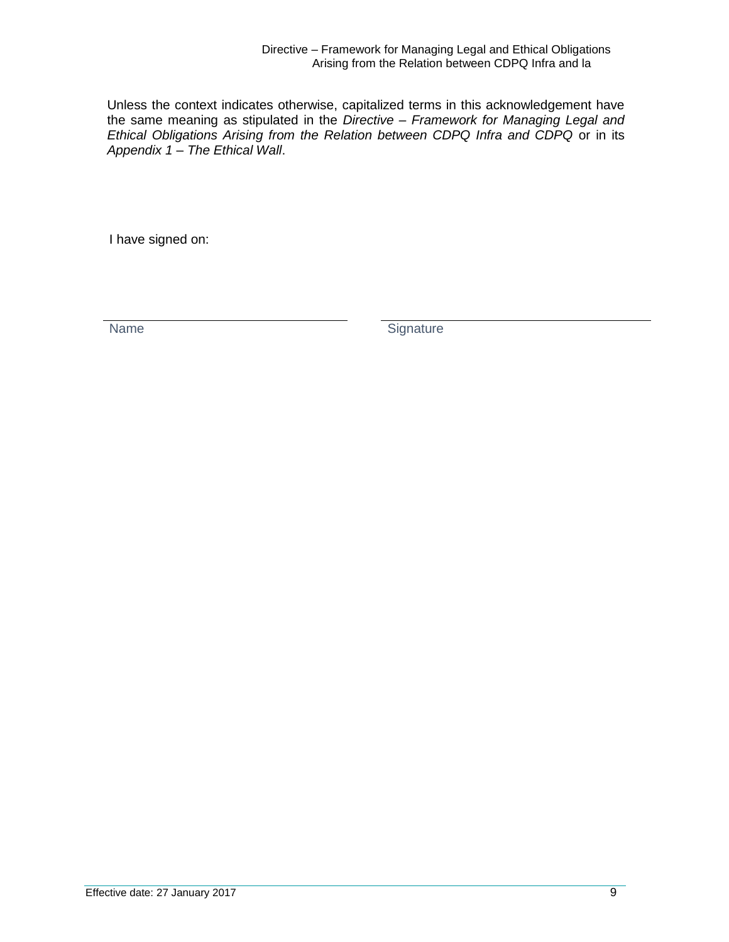Unless the context indicates otherwise, capitalized terms in this acknowledgement have the same meaning as stipulated in the *Directive – Framework for Managing Legal and Ethical Obligations Arising from the Relation between CDPQ Infra and CDPQ* or in its *Appendix 1 – The Ethical Wall*.

I have signed on:

Name Signature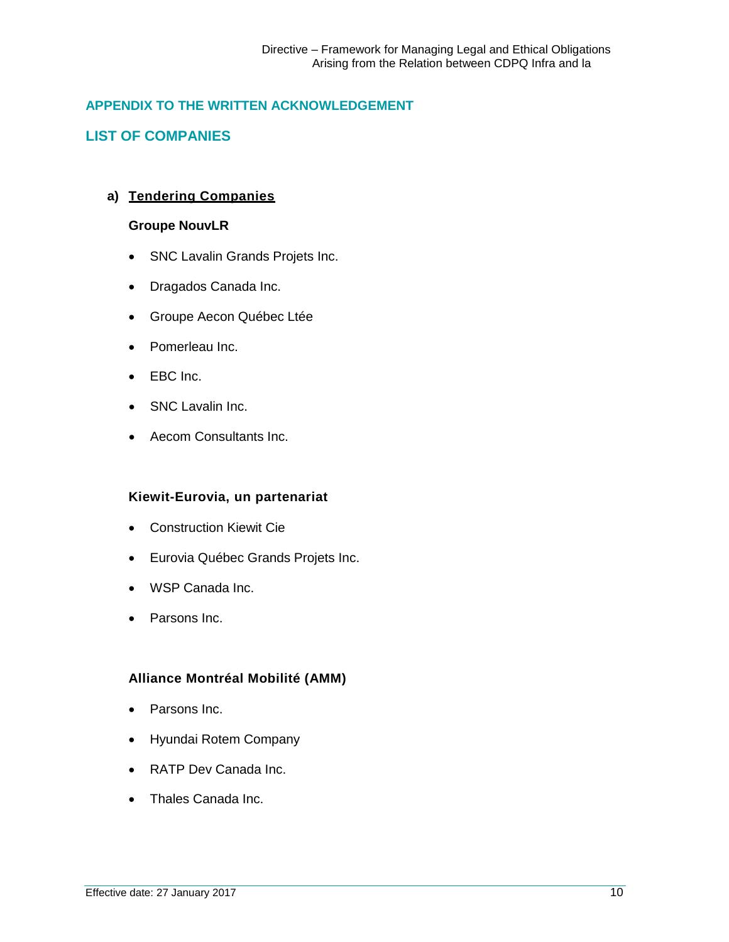### <span id="page-9-0"></span>**APPENDIX TO THE WRITTEN ACKNOWLEDGEMENT**

### <span id="page-9-1"></span>**LIST OF COMPANIES**

#### **a) Tendering Companies**

#### **Groupe NouvLR**

- SNC Lavalin Grands Projets Inc.
- Dragados Canada Inc.
- Groupe Aecon Québec Ltée
- Pomerleau Inc.
- EBC Inc.
- SNC Lavalin Inc.
- Aecom Consultants Inc.

#### **Kiewit-Eurovia, un partenariat**

- Construction Kiewit Cie
- Eurovia Québec Grands Projets Inc.
- WSP Canada Inc.
- Parsons Inc.

#### **Alliance Montréal Mobilité (AMM)**

- Parsons Inc.
- Hyundai Rotem Company
- RATP Dev Canada Inc.
- Thales Canada Inc.